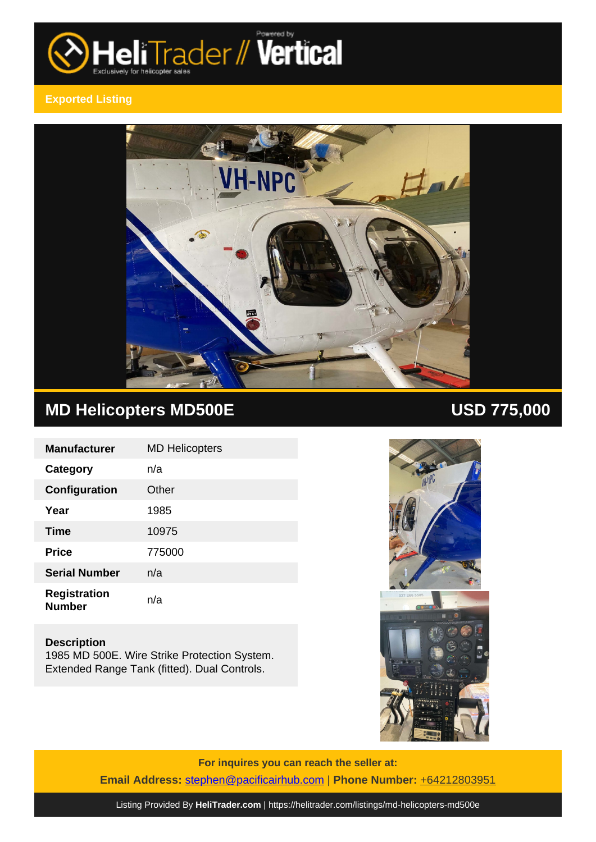

# **Exported Listing**



# **MD Helicopters MD500E USD 775,000**

| <b>Manufacturer</b>                  | <b>MD Helicopters</b> |
|--------------------------------------|-----------------------|
| Category                             | n/a                   |
| Configuration                        | Other                 |
| Year                                 | 1985                  |
| <b>Time</b>                          | 10975                 |
| <b>Price</b>                         | 775000                |
| <b>Serial Number</b>                 | n/a                   |
| <b>Registration</b><br><b>Number</b> | n/a                   |

# **Description**

1985 MD 500E. Wire Strike Protection System. Extended Range Tank (fitted). Dual Controls.



**For inquires you can reach the seller at: Email Address:** [stephen@pacificairhub.com](mailto:stephen@pacificairhub.com,) | **Phone Number:** +64212803951

Listing Provided By **[HeliTrader.com](https://helitrader.com)** |<https://helitrader.com/listings/md-helicopters-md500e>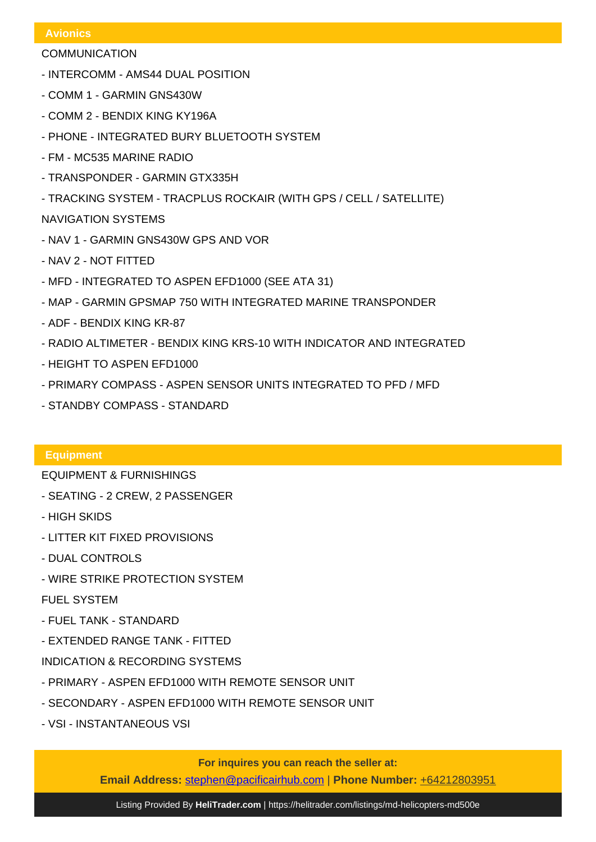### **Avionics**

- COMMUNICATION
- INTERCOMM AMS44 DUAL POSITION
- COMM 1 GARMIN GNS430W
- COMM 2 BENDIX KING KY196A
- PHONE INTEGRATED BURY BLUETOOTH SYSTEM
- FM MC535 MARINE RADIO
- TRANSPONDER GARMIN GTX335H
- TRACKING SYSTEM TRACPLUS ROCKAIR (WITH GPS / CELL / SATELLITE)

# NAVIGATION SYSTEMS

- NAV 1 GARMIN GNS430W GPS AND VOR
- NAV 2 NOT FITTED
- MFD INTEGRATED TO ASPEN EFD1000 (SEE ATA 31)
- MAP GARMIN GPSMAP 750 WITH INTEGRATED MARINE TRANSPONDER
- ADF BENDIX KING KR-87
- RADIO ALTIMETER BENDIX KING KRS-10 WITH INDICATOR AND INTEGRATED
- HEIGHT TO ASPEN EFD1000
- PRIMARY COMPASS ASPEN SENSOR UNITS INTEGRATED TO PFD / MFD
- STANDBY COMPASS STANDARD

# **Equipment**

EQUIPMENT & FURNISHINGS

- SEATING 2 CREW, 2 PASSENGER
- HIGH SKIDS
- LITTER KIT FIXED PROVISIONS
- DUAL CONTROLS
- WIRE STRIKE PROTECTION SYSTEM

# FUEL SYSTEM

- FUEL TANK STANDARD
- EXTENDED RANGE TANK FITTED
- INDICATION & RECORDING SYSTEMS
- PRIMARY ASPEN EFD1000 WITH REMOTE SENSOR UNIT
- SECONDARY ASPEN EFD1000 WITH REMOTE SENSOR UNIT
- VSI INSTANTANEOUS VSI

**For inquires you can reach the seller at:**

**Email Address:** [stephen@pacificairhub.com](mailto:stephen@pacificairhub.com,) | **Phone Number:** +64212803951

Listing Provided By **[HeliTrader.com](https://helitrader.com)** |<https://helitrader.com/listings/md-helicopters-md500e>